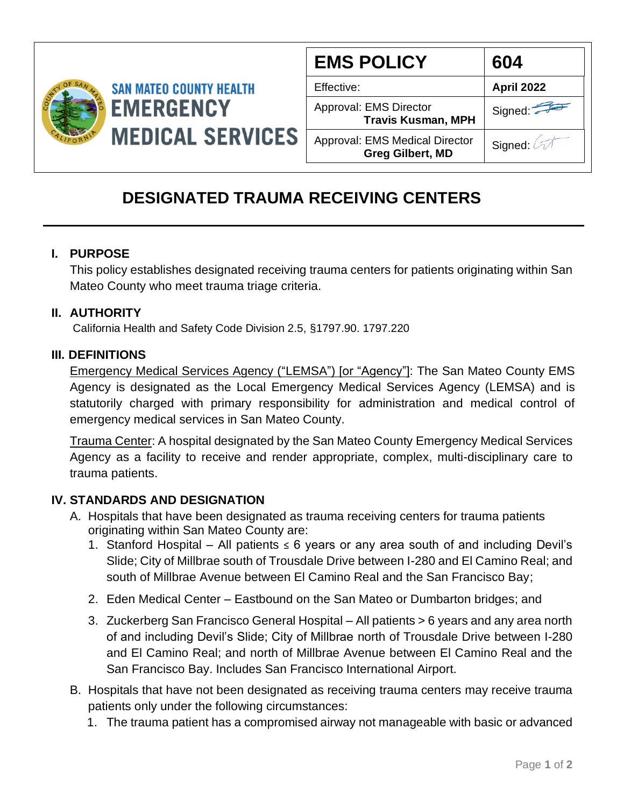

| <b>EMS POLICY</b>                                                | 604               |
|------------------------------------------------------------------|-------------------|
| Effective:                                                       | <b>April 2022</b> |
| Approval: EMS Director<br><b>Travis Kusman, MPH</b>              | Signed:           |
| <b>Approval: EMS Medical Director</b><br><b>Greg Gilbert, MD</b> | Signed: A         |

# **DESIGNATED TRAUMA RECEIVING CENTERS**

#### **I. PURPOSE**

This policy establishes designated receiving trauma centers for patients originating within San Mateo County who meet trauma triage criteria.

## **II. AUTHORITY**

California Health and Safety Code Division 2.5, §1797.90. 1797.220

### **III. DEFINITIONS**

Emergency Medical Services Agency ("LEMSA") [or "Agency"]: The San Mateo County EMS Agency is designated as the Local Emergency Medical Services Agency (LEMSA) and is statutorily charged with primary responsibility for administration and medical control of emergency medical services in San Mateo County.

Trauma Center: A hospital designated by the San Mateo County Emergency Medical Services Agency as a facility to receive and render appropriate, complex, multi-disciplinary care to trauma patients.

## **IV. STANDARDS AND DESIGNATION**

- A. Hospitals that have been designated as trauma receiving centers for trauma patients originating within San Mateo County are:
	- 1. Stanford Hospital All patients  $\leq 6$  years or any area south of and including Devil's Slide; City of Millbrae south of Trousdale Drive between I-280 and El Camino Real; and south of Millbrae Avenue between El Camino Real and the San Francisco Bay;
	- 2. Eden Medical Center Eastbound on the San Mateo or Dumbarton bridges; and
	- 3. Zuckerberg San Francisco General Hospital All patients > 6 years and any area north of and including Devil's Slide; City of Millbrae north of Trousdale Drive between I-280 and El Camino Real; and north of Millbrae Avenue between El Camino Real and the San Francisco Bay. Includes San Francisco International Airport.
- B. Hospitals that have not been designated as receiving trauma centers may receive trauma patients only under the following circumstances:
	- 1. The trauma patient has a compromised airway not manageable with basic or advanced